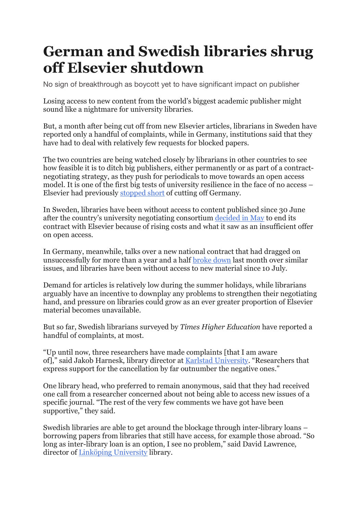## **German and Swedish libraries shrug off Elsevier shutdown**

No sign of breakthrough as boycott yet to have significant impact on publisher

Losing access to new content from the world's biggest academic publisher might sound like a nightmare for university libraries.

But, a month after being cut off from new Elsevier articles, librarians in Sweden have reported only a handful of complaints, while in Germany, institutions said that they have had to deal with relatively few requests for blocked papers.

The two countries are being watched closely by librarians in other countries to see how feasible it is to ditch big publishers, either permanently or as part of a contractnegotiating strategy, as they push for periodicals to move towards an open access model. It is one of the first big tests of university resilience in the face of no access – Elsevier had previously stopped short of cutting off Germany.

In Sweden, libraries have been without access to content published since 30 June after the country's university negotiating consortium decided in May to end its contract with Elsevier because of rising costs and what it saw as an insufficient offer on open access.

In Germany, meanwhile, talks over a new national contract that had dragged on unsuccessfully for more than a year and a half broke down last month over similar issues, and libraries have been without access to new material since 10 July.

Demand for articles is relatively low during the summer holidays, while librarians arguably have an incentive to downplay any problems to strengthen their negotiating hand, and pressure on libraries could grow as an ever greater proportion of Elsevier material becomes unavailable.

But so far, Swedish librarians surveyed by *Times Higher Education* have reported a handful of complaints, at most.

"Up until now, three researchers have made complaints [that I am aware of]," said Jakob Harnesk, library director at Karlstad University. "Researchers that express support for the cancellation by far outnumber the negative ones."

One library head, who preferred to remain anonymous, said that they had received one call from a researcher concerned about not being able to access new issues of a specific journal. "The rest of the very few comments we have got have been supportive," they said.

Swedish libraries are able to get around the blockage through inter-library loans – borrowing papers from libraries that still have access, for example those abroad. "So long as inter-library loan is an option, I see no problem," said David Lawrence, director of Linköping University library.